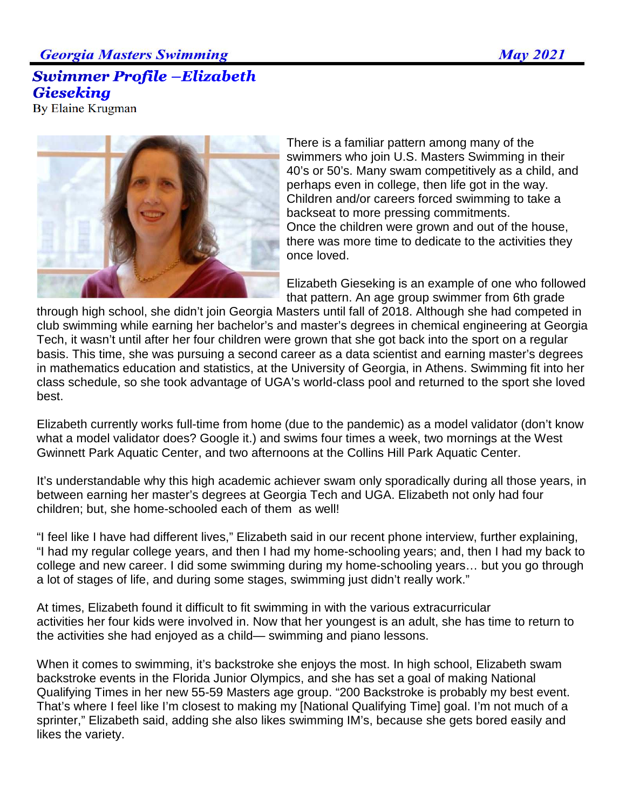## **Georgia Masters Swimming**

## **Swimmer Profile -Elizabeth Gieseking**

**By Elaine Krugman** 



There is a familiar pattern among many of the swimmers who join U.S. Masters Swimming in their 40's or 50's. Many swam competitively as a child, and perhaps even in college, then life got in the way. Children and/or careers forced swimming to take a backseat to more pressing commitments. Once the children were grown and out of the house, there was more time to dedicate to the activities they once loved.

Elizabeth Gieseking is an example of one who followed that pattern. An age group swimmer from 6th grade

through high school, she didn't join Georgia Masters until fall of 2018. Although she had competed in club swimming while earning her bachelor's and master's degrees in chemical engineering at Georgia Tech, it wasn't until after her four children were grown that she got back into the sport on a regular basis. This time, she was pursuing a second career as a data scientist and earning master's degrees in mathematics education and statistics, at the University of Georgia, in Athens. Swimming fit into her class schedule, so she took advantage of UGA's world-class pool and returned to the sport she loved best.

Elizabeth currently works full-time from home (due to the pandemic) as a model validator (don't know what a model validator does? Google it.) and swims four times a week, two mornings at the West Gwinnett Park Aquatic Center, and two afternoons at the Collins Hill Park Aquatic Center.

It's understandable why this high academic achiever swam only sporadically during all those years, in between earning her master's degrees at Georgia Tech and UGA. Elizabeth not only had four children; but, she home-schooled each of them as well!

"I feel like I have had different lives," Elizabeth said in our recent phone interview, further explaining, "I had my regular college years, and then I had my home-schooling years; and, then I had my back to college and new career. I did some swimming during my home-schooling years… but you go through a lot of stages of life, and during some stages, swimming just didn't really work."

At times, Elizabeth found it difficult to fit swimming in with the various extracurricular activities her four kids were involved in. Now that her youngest is an adult, she has time to return to the activities she had enjoyed as a child— swimming and piano lessons.

When it comes to swimming, it's backstroke she enjoys the most. In high school, Elizabeth swam backstroke events in the Florida Junior Olympics, and she has set a goal of making National Qualifying Times in her new 55-59 Masters age group. "200 Backstroke is probably my best event. That's where I feel like I'm closest to making my [National Qualifying Time] goal. I'm not much of a sprinter," Elizabeth said, adding she also likes swimming IM's, because she gets bored easily and likes the variety.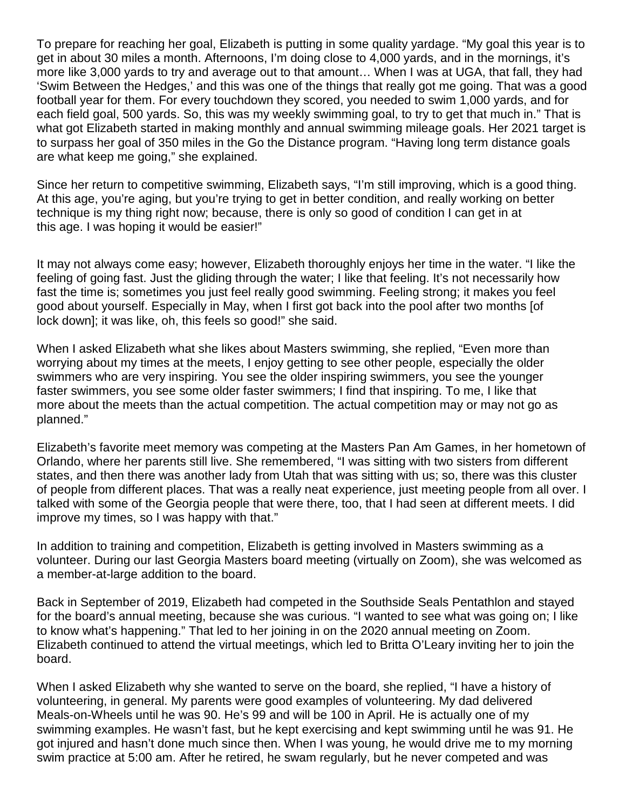To prepare for reaching her goal, Elizabeth is putting in some quality yardage. "My goal this year is to get in about 30 miles a month. Afternoons, I'm doing close to 4,000 yards, and in the mornings, it's more like 3,000 yards to try and average out to that amount… When I was at UGA, that fall, they had 'Swim Between the Hedges,' and this was one of the things that really got me going. That was a good football year for them. For every touchdown they scored, you needed to swim 1,000 yards, and for each field goal, 500 yards. So, this was my weekly swimming goal, to try to get that much in." That is what got Elizabeth started in making monthly and annual swimming mileage goals. Her 2021 target is to surpass her goal of 350 miles in the Go the Distance program. "Having long term distance goals are what keep me going," she explained.

Since her return to competitive swimming, Elizabeth says, "I'm still improving, which is a good thing. At this age, you're aging, but you're trying to get in better condition, and really working on better technique is my thing right now; because, there is only so good of condition I can get in at this age. I was hoping it would be easier!"

It may not always come easy; however, Elizabeth thoroughly enjoys her time in the water. "I like the feeling of going fast. Just the gliding through the water; I like that feeling. It's not necessarily how fast the time is; sometimes you just feel really good swimming. Feeling strong; it makes you feel good about yourself. Especially in May, when I first got back into the pool after two months [of lock down]; it was like, oh, this feels so good!" she said.

When I asked Elizabeth what she likes about Masters swimming, she replied, "Even more than worrying about my times at the meets, I enjoy getting to see other people, especially the older swimmers who are very inspiring. You see the older inspiring swimmers, you see the younger faster swimmers, you see some older faster swimmers; I find that inspiring. To me, I like that more about the meets than the actual competition. The actual competition may or may not go as planned."

Elizabeth's favorite meet memory was competing at the Masters Pan Am Games, in her hometown of Orlando, where her parents still live. She remembered, "I was sitting with two sisters from different states, and then there was another lady from Utah that was sitting with us; so, there was this cluster of people from different places. That was a really neat experience, just meeting people from all over. I talked with some of the Georgia people that were there, too, that I had seen at different meets. I did improve my times, so I was happy with that."

In addition to training and competition, Elizabeth is getting involved in Masters swimming as a volunteer. During our last Georgia Masters board meeting (virtually on Zoom), she was welcomed as a member-at-large addition to the board.

Back in September of 2019, Elizabeth had competed in the Southside Seals Pentathlon and stayed for the board's annual meeting, because she was curious. "I wanted to see what was going on; I like to know what's happening." That led to her joining in on the 2020 annual meeting on Zoom. Elizabeth continued to attend the virtual meetings, which led to Britta O'Leary inviting her to join the board.

When I asked Elizabeth why she wanted to serve on the board, she replied, "I have a history of volunteering, in general. My parents were good examples of volunteering. My dad delivered Meals-on-Wheels until he was 90. He's 99 and will be 100 in April. He is actually one of my swimming examples. He wasn't fast, but he kept exercising and kept swimming until he was 91. He got injured and hasn't done much since then. When I was young, he would drive me to my morning swim practice at 5:00 am. After he retired, he swam regularly, but he never competed and was